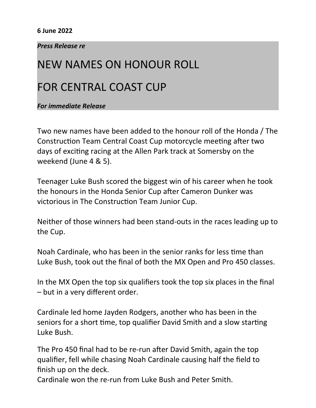## **6 June 2022**

## *Press Release re*

## NEW NAMES ON HONOUR ROLL

## FOR CENTRAL COAST CUP

*For immediate Release*

Two new names have been added to the honour roll of the Honda / The Construction Team Central Coast Cup motorcycle meeting after two days of exciting racing at the Allen Park track at Somersby on the weekend (June 4 & 5).

Teenager Luke Bush scored the biggest win of his career when he took the honours in the Honda Senior Cup after Cameron Dunker was victorious in The Construction Team Junior Cup.

Neither of those winners had been stand-outs in the races leading up to the Cup.

Noah Cardinale, who has been in the senior ranks for less time than Luke Bush, took out the final of both the MX Open and Pro 450 classes.

In the MX Open the top six qualifiers took the top six places in the final – but in a very different order.

Cardinale led home Jayden Rodgers, another who has been in the seniors for a short time, top qualifier David Smith and a slow starting Luke Bush.

The Pro 450 final had to be re-run after David Smith, again the top qualifier, fell while chasing Noah Cardinale causing half the field to finish up on the deck.

Cardinale won the re-run from Luke Bush and Peter Smith.